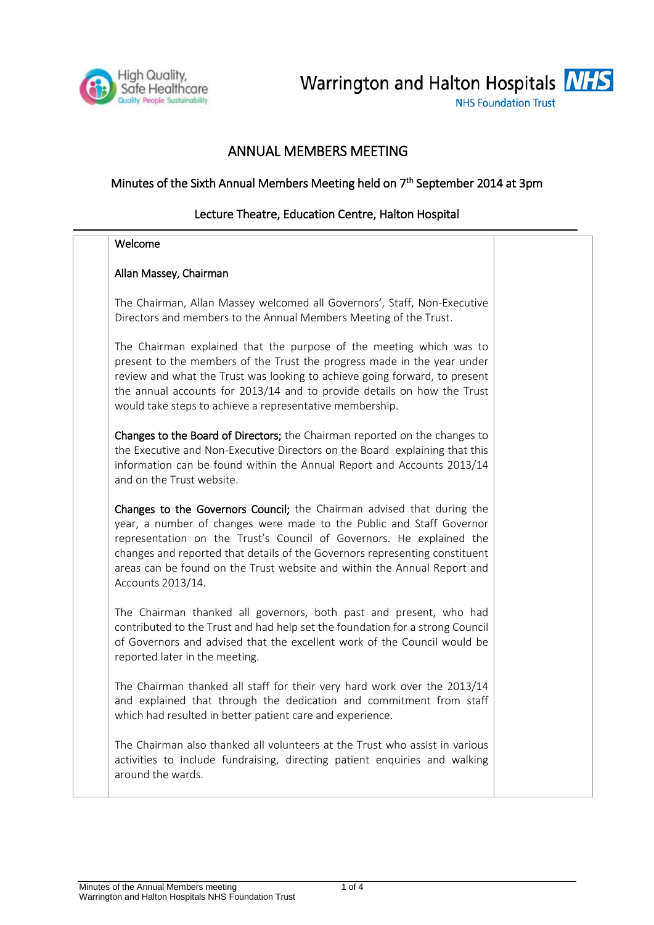

Warrington and Halton Hospitals **NHS** 

**NHS Foundation Trust** 

# ANNUAL MEMBERS MEETING

### Minutes of the Sixth Annual Members Meeting held on 7<sup>th</sup> September 2014 at 3pm

### Lecture Theatre, Education Centre, Halton Hospital

#### Welcome

#### Allan Massey, Chairman

The Chairman, Allan Massey welcomed all Governors', Staff, Non-Executive Directors and members to the Annual Members Meeting of the Trust.

The Chairman explained that the purpose of the meeting which was to present to the members of the Trust the progress made in the year under review and what the Trust was looking to achieve going forward, to present the annual accounts for 2013/14 and to provide details on how the Trust would take steps to achieve a representative membership.

Changes to the Board of Directors; the Chairman reported on the changes to the Executive and Non-Executive Directors on the Board explaining that this information can be found within the Annual Report and Accounts 2013/14 and on the Trust website.

Changes to the Governors Council; the Chairman advised that during the year, a number of changes were made to the Public and Staff Governor representation on the Trust's Council of Governors. He explained the changes and reported that details of the Governors representing constituent areas can be found on the Trust website and within the Annual Report and Accounts 2013/14.

The Chairman thanked all governors, both past and present, who had contributed to the Trust and had help set the foundation for a strong Council of Governors and advised that the excellent work of the Council would be reported later in the meeting.

The Chairman thanked all staff for their very hard work over the 2013/14 and explained that through the dedication and commitment from staff which had resulted in better patient care and experience.

The Chairman also thanked all volunteers at the Trust who assist in various activities to include fundraising, directing patient enquiries and walking around the wards.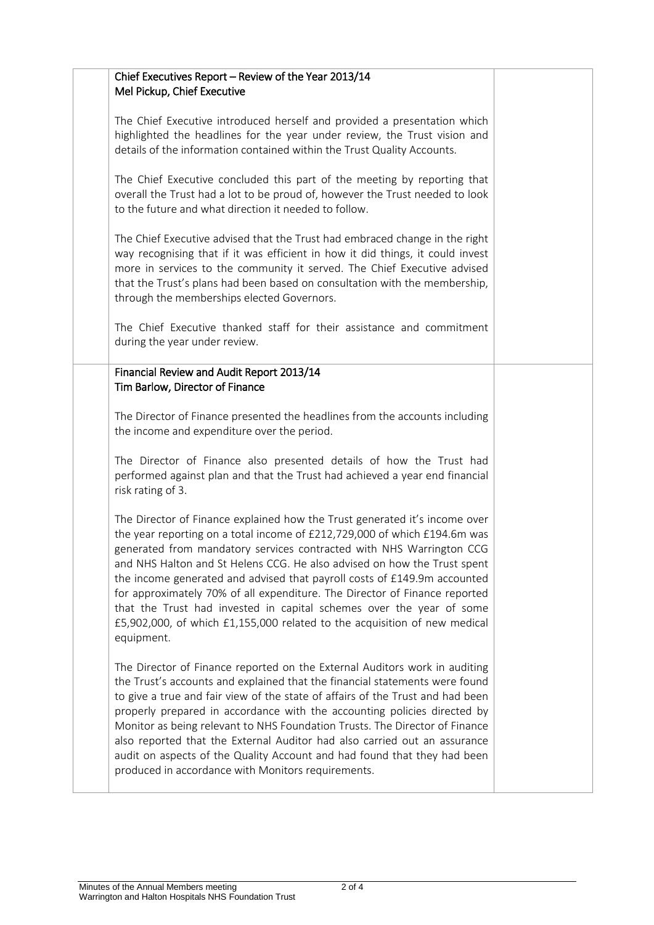| Chief Executives Report - Review of the Year 2013/14<br>Mel Pickup, Chief Executive                                                                                                                                                                                                                                                                                                                                                                                                                                                                                                                                                      |  |
|------------------------------------------------------------------------------------------------------------------------------------------------------------------------------------------------------------------------------------------------------------------------------------------------------------------------------------------------------------------------------------------------------------------------------------------------------------------------------------------------------------------------------------------------------------------------------------------------------------------------------------------|--|
| The Chief Executive introduced herself and provided a presentation which<br>highlighted the headlines for the year under review, the Trust vision and<br>details of the information contained within the Trust Quality Accounts.                                                                                                                                                                                                                                                                                                                                                                                                         |  |
| The Chief Executive concluded this part of the meeting by reporting that<br>overall the Trust had a lot to be proud of, however the Trust needed to look<br>to the future and what direction it needed to follow.                                                                                                                                                                                                                                                                                                                                                                                                                        |  |
| The Chief Executive advised that the Trust had embraced change in the right<br>way recognising that if it was efficient in how it did things, it could invest<br>more in services to the community it served. The Chief Executive advised<br>that the Trust's plans had been based on consultation with the membership,<br>through the memberships elected Governors.                                                                                                                                                                                                                                                                    |  |
| The Chief Executive thanked staff for their assistance and commitment<br>during the year under review.                                                                                                                                                                                                                                                                                                                                                                                                                                                                                                                                   |  |
| Financial Review and Audit Report 2013/14<br>Tim Barlow, Director of Finance                                                                                                                                                                                                                                                                                                                                                                                                                                                                                                                                                             |  |
| The Director of Finance presented the headlines from the accounts including<br>the income and expenditure over the period.                                                                                                                                                                                                                                                                                                                                                                                                                                                                                                               |  |
| The Director of Finance also presented details of how the Trust had<br>performed against plan and that the Trust had achieved a year end financial<br>risk rating of 3.                                                                                                                                                                                                                                                                                                                                                                                                                                                                  |  |
| The Director of Finance explained how the Trust generated it's income over<br>the year reporting on a total income of £212,729,000 of which £194.6m was<br>generated from mandatory services contracted with NHS Warrington CCG<br>and NHS Halton and St Helens CCG. He also advised on how the Trust spent<br>the income generated and advised that payroll costs of £149.9m accounted<br>for approximately 70% of all expenditure. The Director of Finance reported<br>that the Trust had invested in capital schemes over the year of some<br>£5,902,000, of which £1,155,000 related to the acquisition of new medical<br>equipment. |  |
| The Director of Finance reported on the External Auditors work in auditing<br>the Trust's accounts and explained that the financial statements were found<br>to give a true and fair view of the state of affairs of the Trust and had been<br>properly prepared in accordance with the accounting policies directed by<br>Monitor as being relevant to NHS Foundation Trusts. The Director of Finance<br>also reported that the External Auditor had also carried out an assurance<br>audit on aspects of the Quality Account and had found that they had been<br>produced in accordance with Monitors requirements.                    |  |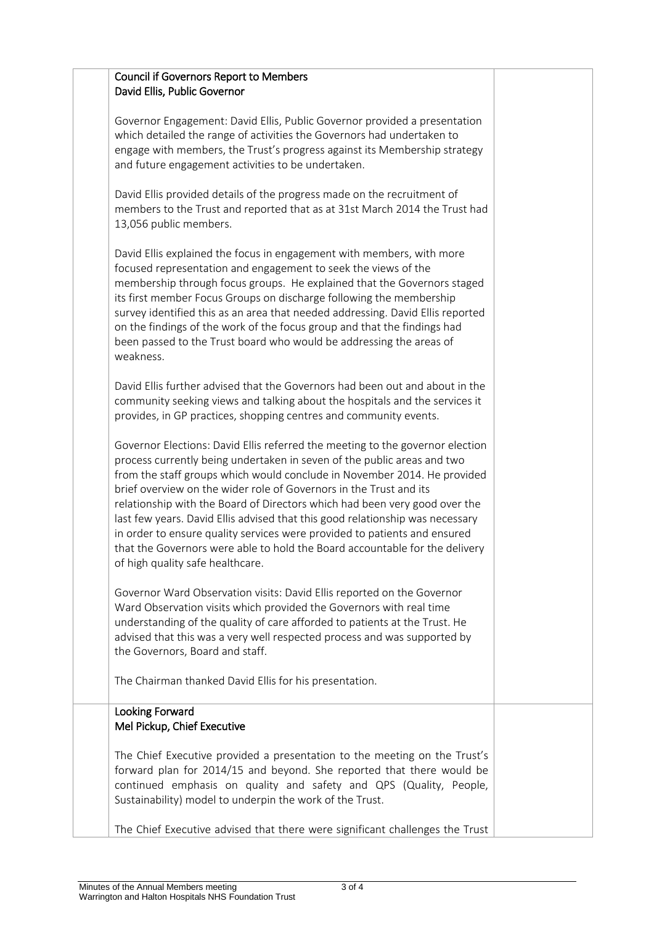| <b>Council if Governors Report to Members</b><br>David Ellis, Public Governor                                                                                                                                                                                                                                                                                                                                                                                                                                                                                                                                                                                             |  |
|---------------------------------------------------------------------------------------------------------------------------------------------------------------------------------------------------------------------------------------------------------------------------------------------------------------------------------------------------------------------------------------------------------------------------------------------------------------------------------------------------------------------------------------------------------------------------------------------------------------------------------------------------------------------------|--|
| Governor Engagement: David Ellis, Public Governor provided a presentation<br>which detailed the range of activities the Governors had undertaken to<br>engage with members, the Trust's progress against its Membership strategy<br>and future engagement activities to be undertaken.                                                                                                                                                                                                                                                                                                                                                                                    |  |
| David Ellis provided details of the progress made on the recruitment of<br>members to the Trust and reported that as at 31st March 2014 the Trust had<br>13,056 public members.                                                                                                                                                                                                                                                                                                                                                                                                                                                                                           |  |
| David Ellis explained the focus in engagement with members, with more<br>focused representation and engagement to seek the views of the<br>membership through focus groups. He explained that the Governors staged<br>its first member Focus Groups on discharge following the membership<br>survey identified this as an area that needed addressing. David Ellis reported<br>on the findings of the work of the focus group and that the findings had<br>been passed to the Trust board who would be addressing the areas of<br>weakness.                                                                                                                               |  |
| David Ellis further advised that the Governors had been out and about in the<br>community seeking views and talking about the hospitals and the services it<br>provides, in GP practices, shopping centres and community events.                                                                                                                                                                                                                                                                                                                                                                                                                                          |  |
| Governor Elections: David Ellis referred the meeting to the governor election<br>process currently being undertaken in seven of the public areas and two<br>from the staff groups which would conclude in November 2014. He provided<br>brief overview on the wider role of Governors in the Trust and its<br>relationship with the Board of Directors which had been very good over the<br>last few years. David Ellis advised that this good relationship was necessary<br>in order to ensure quality services were provided to patients and ensured<br>that the Governors were able to hold the Board accountable for the delivery<br>of high quality safe healthcare. |  |
| Governor Ward Observation visits: David Ellis reported on the Governor<br>Ward Observation visits which provided the Governors with real time<br>understanding of the quality of care afforded to patients at the Trust. He<br>advised that this was a very well respected process and was supported by<br>the Governors, Board and staff.                                                                                                                                                                                                                                                                                                                                |  |
| The Chairman thanked David Ellis for his presentation.                                                                                                                                                                                                                                                                                                                                                                                                                                                                                                                                                                                                                    |  |
| Looking Forward<br>Mel Pickup, Chief Executive                                                                                                                                                                                                                                                                                                                                                                                                                                                                                                                                                                                                                            |  |
| The Chief Executive provided a presentation to the meeting on the Trust's<br>forward plan for 2014/15 and beyond. She reported that there would be<br>continued emphasis on quality and safety and QPS (Quality, People,<br>Sustainability) model to underpin the work of the Trust.                                                                                                                                                                                                                                                                                                                                                                                      |  |
| The Chief Executive advised that there were significant challenges the Trust                                                                                                                                                                                                                                                                                                                                                                                                                                                                                                                                                                                              |  |